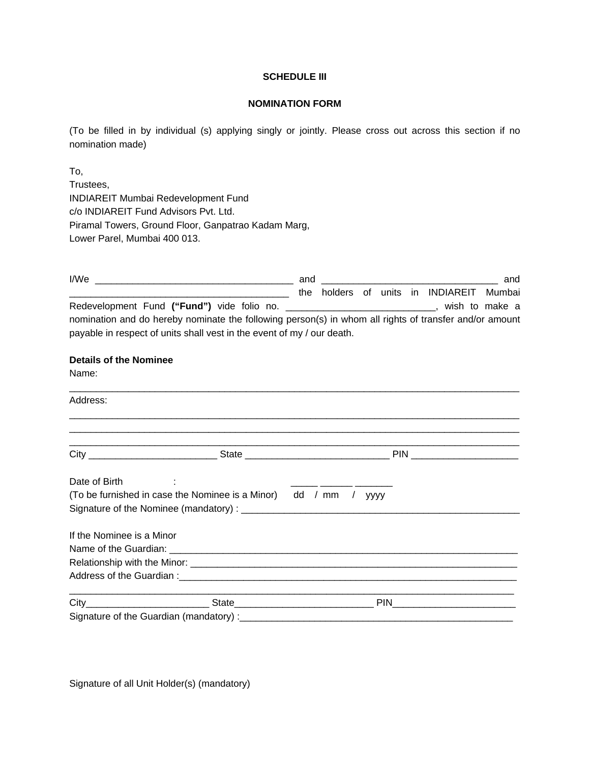### **SCHEDULE III**

### **NOMINATION FORM**

(To be filled in by individual (s) applying singly or jointly. Please cross out across this section if no nomination made)

To, Trustees, INDIAREIT Mumbai Redevelopment Fund c/o INDIAREIT Fund Advisors Pvt. Ltd. Piramal Towers, Ground Floor, Ganpatrao Kadam Marg, Lower Parel, Mumbai 400 013.

| I/We                                                                                                                                                                             | and |  |  |                                      | and            |
|----------------------------------------------------------------------------------------------------------------------------------------------------------------------------------|-----|--|--|--------------------------------------|----------------|
|                                                                                                                                                                                  | the |  |  | holders of units in INDIAREIT Mumbai |                |
|                                                                                                                                                                                  |     |  |  |                                      | wish to make a |
| nomination and do hereby nominate the following person(s) in whom all rights of transfer and/or amount<br>payable in respect of units shall vest in the event of my / our death. |     |  |  |                                      |                |

## **Details of the Nominee**

Name:

| Address:                  |                                                          |                           |
|---------------------------|----------------------------------------------------------|---------------------------|
|                           |                                                          |                           |
| Date of Birth             |                                                          |                           |
|                           | (To be furnished in case the Nominee is a Minor) dd / mm | $\sqrt{2}$<br><b>YYYY</b> |
|                           |                                                          |                           |
| If the Nominee is a Minor |                                                          |                           |
|                           |                                                          |                           |
|                           |                                                          |                           |
|                           |                                                          |                           |
|                           |                                                          |                           |
|                           |                                                          |                           |

Signature of all Unit Holder(s) (mandatory)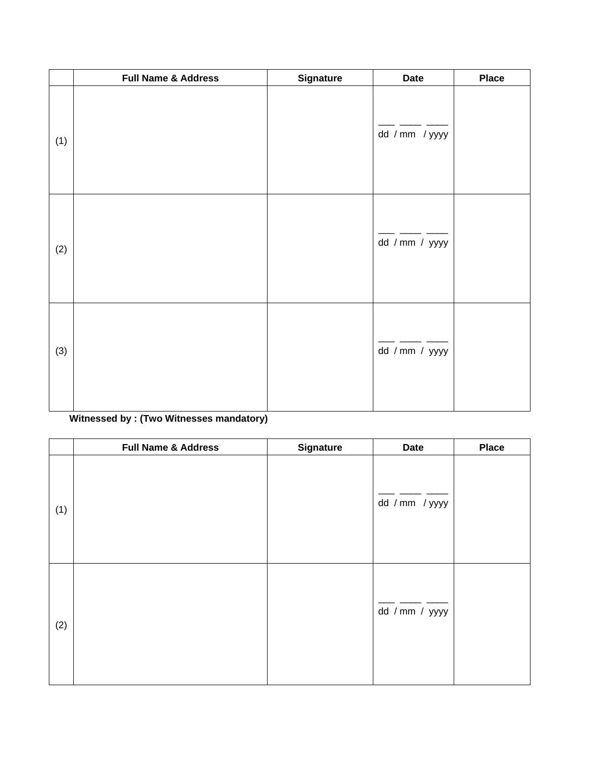|     | <b>Full Name &amp; Address</b> | <b>Signature</b> | <b>Date</b>    | <b>Place</b> |
|-----|--------------------------------|------------------|----------------|--------------|
| (1) |                                |                  | dd / mm / yyyy |              |
| (2) |                                |                  | dd / mm / yyyy |              |
| (3) |                                |                  | dd / mm / yyyy |              |

# **Witnessed by : (Two Witnesses mandatory)**

|     | <b>Full Name &amp; Address</b> | <b>Signature</b> | <b>Date</b>    | <b>Place</b> |
|-----|--------------------------------|------------------|----------------|--------------|
| (1) |                                |                  | dd / mm / yyyy |              |
| (2) |                                |                  | dd / mm / yyyy |              |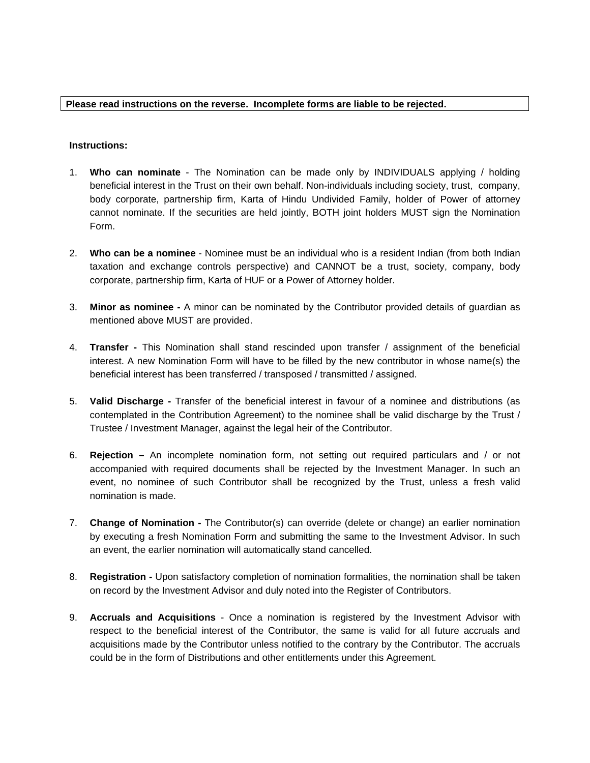### **Please read instructions on the reverse. Incomplete forms are liable to be rejected.**

### **Instructions:**

- 1. **Who can nominate** The Nomination can be made only by INDIVIDUALS applying / holding beneficial interest in the Trust on their own behalf. Non-individuals including society, trust, company, body corporate, partnership firm, Karta of Hindu Undivided Family, holder of Power of attorney cannot nominate. If the securities are held jointly, BOTH joint holders MUST sign the Nomination Form.
- 2. **Who can be a nominee** Nominee must be an individual who is a resident Indian (from both Indian taxation and exchange controls perspective) and CANNOT be a trust, society, company, body corporate, partnership firm, Karta of HUF or a Power of Attorney holder.
- 3. **Minor as nominee** A minor can be nominated by the Contributor provided details of guardian as mentioned above MUST are provided.
- 4. **Transfer** This Nomination shall stand rescinded upon transfer / assignment of the beneficial interest. A new Nomination Form will have to be filled by the new contributor in whose name(s) the beneficial interest has been transferred / transposed / transmitted / assigned.
- 5. **Valid Discharge** Transfer of the beneficial interest in favour of a nominee and distributions (as contemplated in the Contribution Agreement) to the nominee shall be valid discharge by the Trust / Trustee / Investment Manager, against the legal heir of the Contributor.
- 6. **Rejection** An incomplete nomination form, not setting out required particulars and / or not accompanied with required documents shall be rejected by the Investment Manager. In such an event, no nominee of such Contributor shall be recognized by the Trust, unless a fresh valid nomination is made.
- 7. **Change of Nomination** The Contributor(s) can override (delete or change) an earlier nomination by executing a fresh Nomination Form and submitting the same to the Investment Advisor. In such an event, the earlier nomination will automatically stand cancelled.
- 8. **Registration** Upon satisfactory completion of nomination formalities, the nomination shall be taken on record by the Investment Advisor and duly noted into the Register of Contributors.
- 9. **Accruals and Acquisitions** Once a nomination is registered by the Investment Advisor with respect to the beneficial interest of the Contributor, the same is valid for all future accruals and acquisitions made by the Contributor unless notified to the contrary by the Contributor. The accruals could be in the form of Distributions and other entitlements under this Agreement.